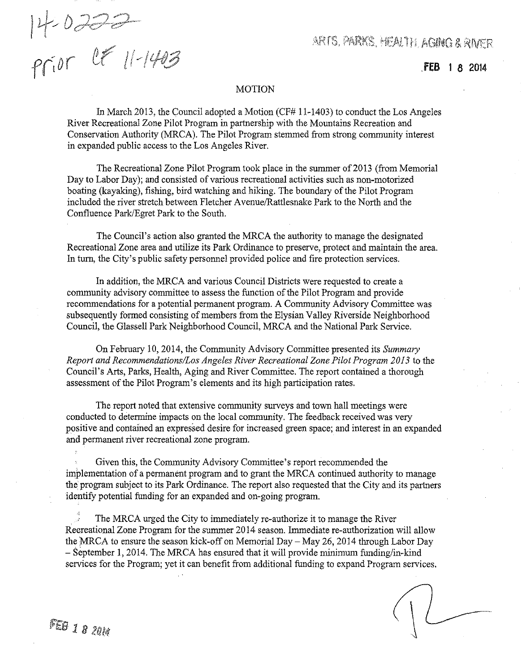*tr~J*I!*<sup>t</sup> ,. <sup>j</sup>'W'@''''* <sup>1</sup> . , . t! I '

ARTS, PARKS, HEALTH, AGING & RIVER

**fEB 1 8 2014**

## MOTION

In March 2013, the Council adopted a Motion (CF# 11-1403) to conduct the Los Angeles River Recreational Zone Pilot Program in partnership with the Mountains Recreation and Conservation Authority (MRCA). The Pilot Program stemmed from strong community interest in expanded public access to the Los Angeles River.

The Recreational Zone Pilot Program took place in the summer of2013 (from Memorial Day to Labor Day); and consisted of various recreational activities such as non-motorized boating (kayaking), fishing, bird watching and hiking. The boundary of the Pilot Program included the river stretch between Fletcher AvenuelRattlesnake Park to the North and the Confluence Park/Egret Park to the South.

The Council's action also granted the MRCA the authority to manage the designated Recreational Zone area and utilize its Park Ordinance to preserve, protect and maintain the area. In tum, the City's public safety personnel provided police and fire protection services.

In addition, the MRCA and various Council Districts were requested to create a community advisory committee to assess the function of the Pilot Program and provide recommendations for a potential permanent program. A Community Advisory Committee was subsequently formed consisting of members from the Elysian Valley Riverside Neighborhood Council, the Glassell Park Neighborhood Council, MRCA and the National Park Service.

On February 10, 2014, the Community Advisory Committee presented its *Summary Report and Recommendations/Los Angeles River Recreational Zone Pilot Program 2013* to the Council's Arts, Parks, Health, Aging and River Committee. The report contained a thorough assessment of the Pilot Program's elements and its high participation rates.

The report noted that extensive community surveys and town hall meetings were conducted to determine impacts on the local community. The feedback received was very positive and contained an expressed desire for increased green space; and interest in an expanded and permanent river recreational zone program.

Given this, the Community Advisory Committee's report recommended the implementation of a permanent program and to grant the MRCA continued authority to manage the program subject to its Park Ordinance. The report also requested that the City and its partners identify potential funding for an expanded and on-going program.

The MRCA urged the City to immediately re-authorize it to manage the River Recreational Zone Program for the summer 2014 season. Immediate re-authorization will allow the MRCA to ensure the season kick-off on Memorial Day- May 26, 2014 through Labor Day - September 1, 2014. The MRCA has ensured that it will provide minimum funding/in-kind services for the Program; yet it can benefit from additional funding to expand Program services.